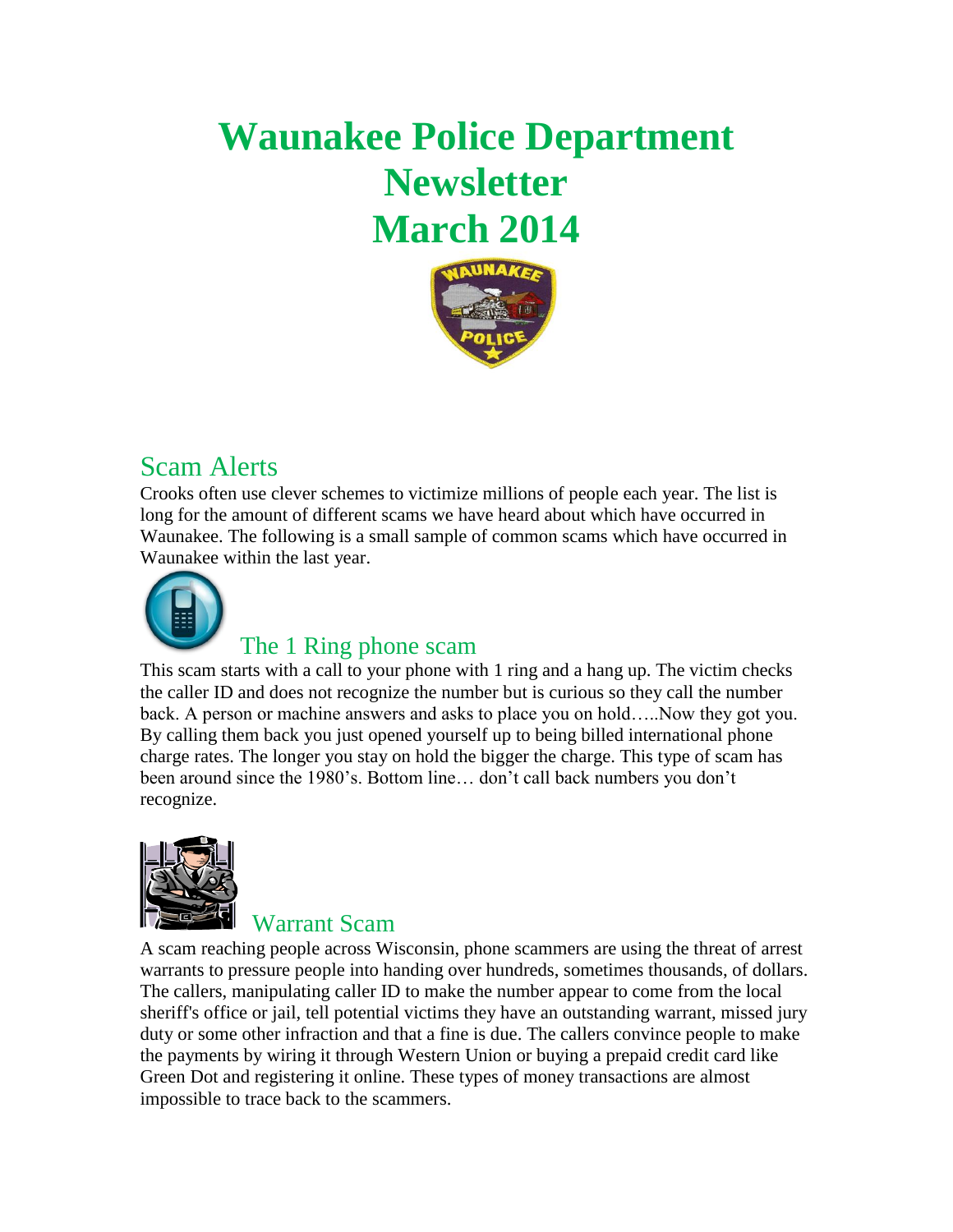# **Waunakee Police Department Newsletter March 2014**



## Scam Alerts

Crooks often use clever schemes to victimize millions of people each year. The list is long for the amount of different scams we have heard about which have occurred in Waunakee. The following is a small sample of common scams which have occurred in Waunakee within the last year.



#### The 1 Ring phone scam

This scam starts with a call to your phone with 1 ring and a hang up. The victim checks the caller ID and does not recognize the number but is curious so they call the number back. A person or machine answers and asks to place you on hold…..Now they got you. By calling them back you just opened yourself up to being billed international phone charge rates. The longer you stay on hold the bigger the charge. This type of scam has been around since the 1980's. Bottom line… don't call back numbers you don't recognize.



#### Warrant Scam

A scam reaching people across Wisconsin, phone scammers are using the threat of arrest warrants to pressure people into handing over hundreds, sometimes thousands, of dollars. The callers, manipulating caller ID to make the number appear to come from the local sheriff's office or jail, tell potential victims they have an outstanding warrant, missed jury duty or some other infraction and that a fine is due. The callers convince people to make the payments by wiring it through Western Union or buying a prepaid credit card like Green Dot and registering it online. These types of money transactions are almost impossible to trace back to the scammers.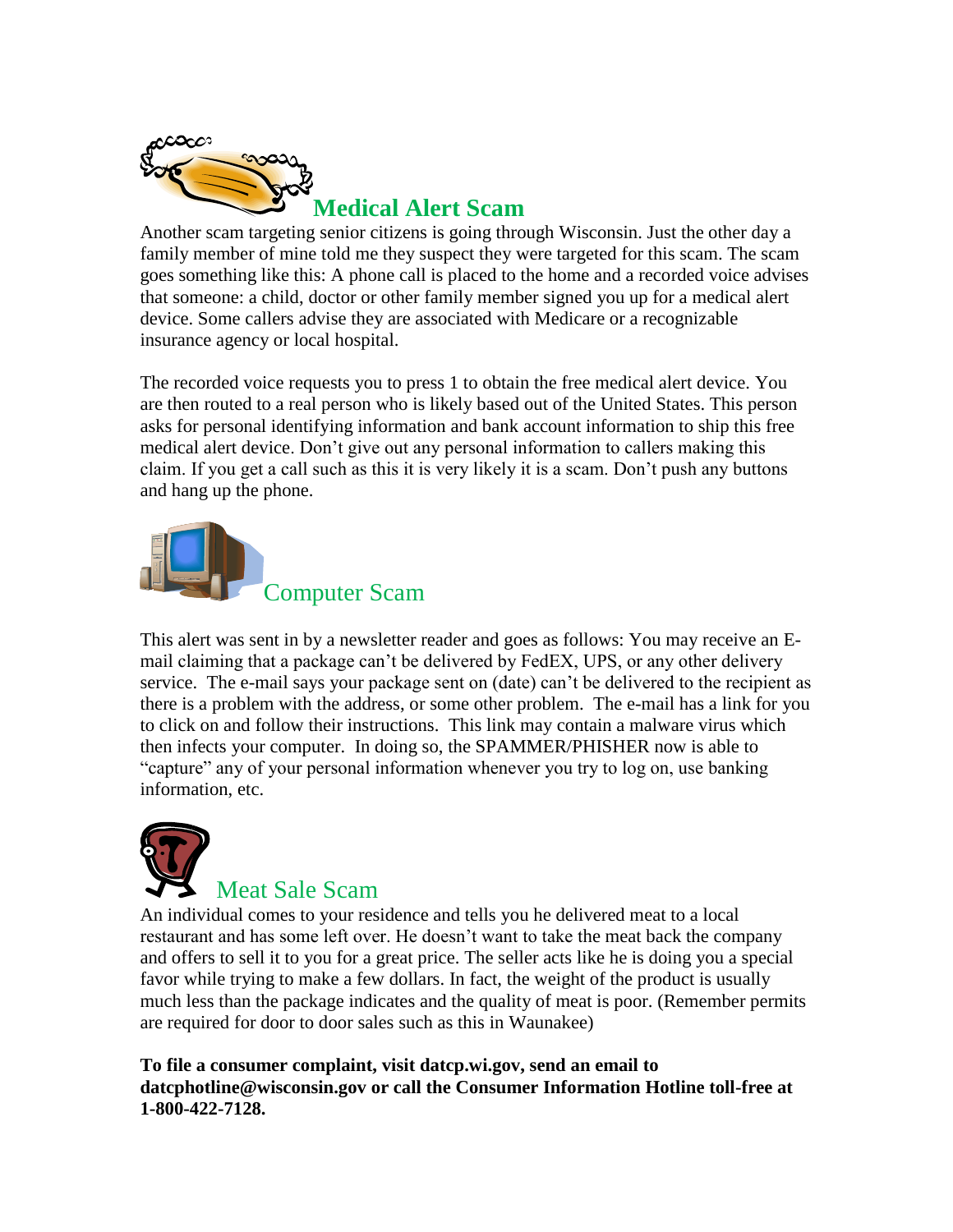

Another scam targeting senior citizens is going through Wisconsin. Just the other day a family member of mine told me they suspect they were targeted for this scam. The scam goes something like this: A phone call is placed to the home and a recorded voice advises that someone: a child, doctor or other family member signed you up for a medical alert device. Some callers advise they are associated with Medicare or a recognizable insurance agency or local hospital.

The recorded voice requests you to press 1 to obtain the free medical alert device. You are then routed to a real person who is likely based out of the United States. This person asks for personal identifying information and bank account information to ship this free medical alert device. Don't give out any personal information to callers making this claim. If you get a call such as this it is very likely it is a scam. Don't push any buttons and hang up the phone.



This alert was sent in by a newsletter reader and goes as follows: You may receive an Email claiming that a package can't be delivered by FedEX, UPS, or any other delivery service. The e-mail says your package sent on (date) can't be delivered to the recipient as there is a problem with the address, or some other problem. The e-mail has a link for you to click on and follow their instructions. This link may contain a malware virus which then infects your computer. In doing so, the SPAMMER/PHISHER now is able to "capture" any of your personal information whenever you try to log on, use banking information, etc.



An individual comes to your residence and tells you he delivered meat to a local restaurant and has some left over. He doesn't want to take the meat back the company and offers to sell it to you for a great price. The seller acts like he is doing you a special favor while trying to make a few dollars. In fact, the weight of the product is usually much less than the package indicates and the quality of meat is poor. (Remember permits are required for door to door sales such as this in Waunakee)

**To file a consumer complaint, visit [datcp.wi.gov,](http://datcp.wi.gov/) send an email to [datcphotline@wisconsin.gov](mailto:datcphotline@wisconsin.gov?mobile_touch=true) or call the Consumer Information Hotline toll-free at 1-800-422-7128.**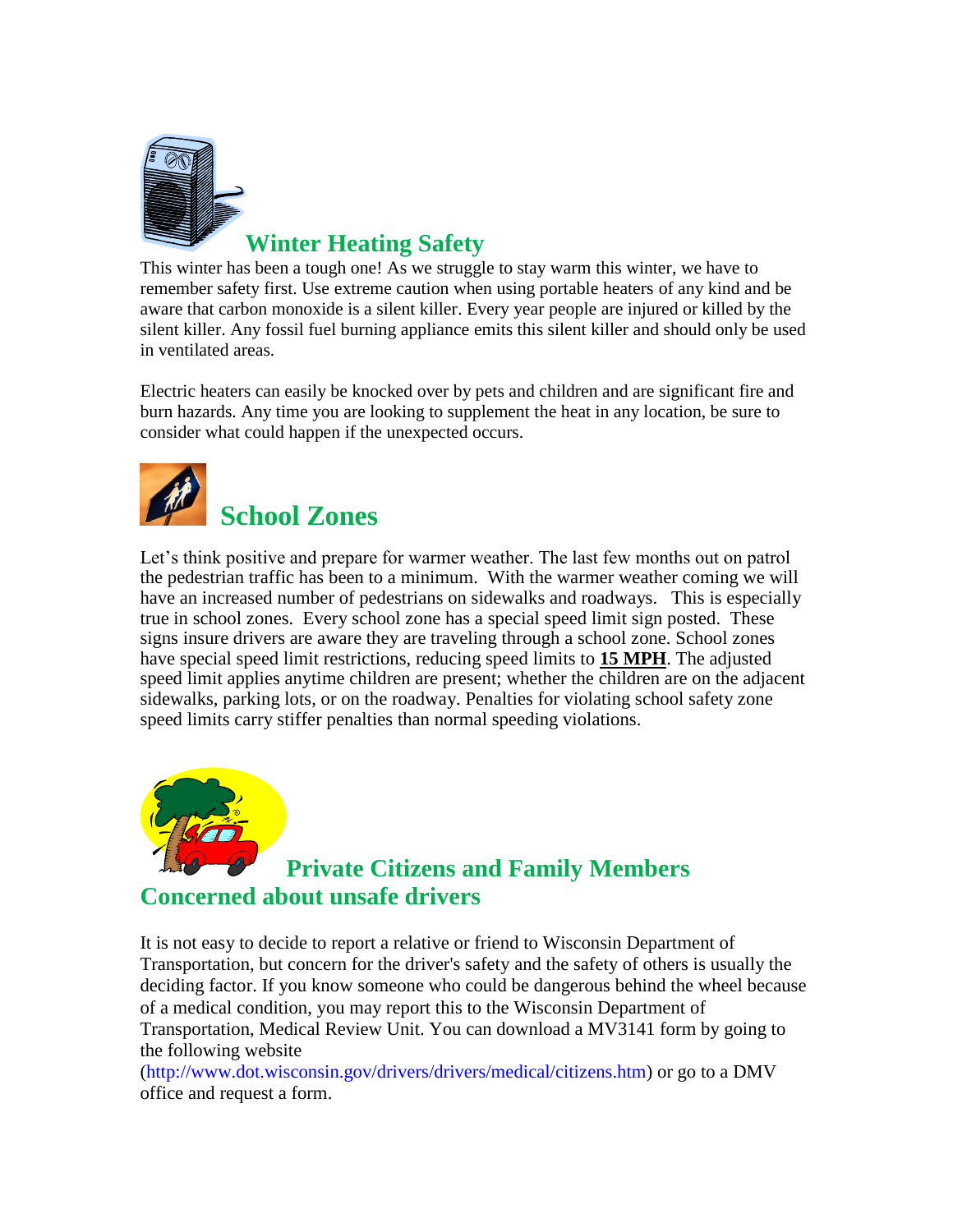

This winter has been a tough one! As we struggle to stay warm this winter, we have to remember safety first. Use extreme caution when using portable heaters of any kind and be aware that carbon monoxide is a silent killer. Every year people are injured or killed by the silent killer. Any fossil fuel burning appliance emits this silent killer and should only be used in ventilated areas.

Electric heaters can easily be knocked over by pets and children and are significant fire and burn hazards. Any time you are looking to supplement the heat in any location, be sure to consider what could happen if the unexpected occurs.



Let's think positive and prepare for warmer weather. The last few months out on patrol the pedestrian traffic has been to a minimum. With the warmer weather coming we will have an increased number of pedestrians on sidewalks and roadways. This is especially true in school zones. Every school zone has a special speed limit sign posted. These signs insure drivers are aware they are traveling through a school zone. School zones have special speed limit restrictions, reducing speed limits to **15 MPH**. The adjusted speed limit applies anytime children are present; whether the children are on the adjacent sidewalks, parking lots, or on the roadway. Penalties for violating school safety zone speed limits carry stiffer penalties than normal speeding violations.



### **Private Citizens and Family Members Concerned about unsafe drivers**

It is not easy to decide to report a relative or friend to Wisconsin Department of Transportation, but concern for the driver's safety and the safety of others is usually the deciding factor. If you know someone who could be dangerous behind the wheel because of a medical condition, you may report this to the Wisconsin Department of Transportation, Medical Review Unit. You can download a MV3141 form by going to the following website

[\(http://www.dot.wisconsin.gov/drivers/drivers/medical/citizens.htm\)](http://www.dot.wisconsin.gov/drivers/drivers/medical/citizens.htm) or go to a DMV office and request a form.